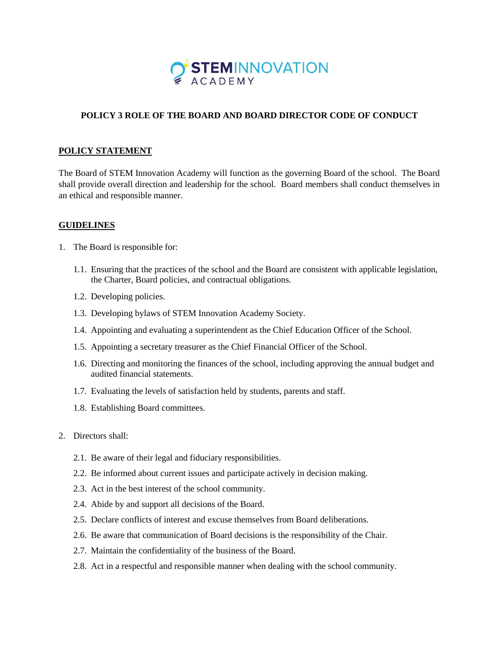

# **POLICY 3 ROLE OF THE BOARD AND BOARD DIRECTOR CODE OF CONDUCT**

# **POLICY STATEMENT**

The Board of STEM Innovation Academy will function as the governing Board of the school. The Board shall provide overall direction and leadership for the school. Board members shall conduct themselves in an ethical and responsible manner.

## **GUIDELINES**

- 1. The Board is responsible for:
	- 1.1. Ensuring that the practices of the school and the Board are consistent with applicable legislation, the Charter, Board policies, and contractual obligations.
	- 1.2. Developing policies.
	- 1.3. Developing bylaws of STEM Innovation Academy Society.
	- 1.4. Appointing and evaluating a superintendent as the Chief Education Officer of the School.
	- 1.5. Appointing a secretary treasurer as the Chief Financial Officer of the School.
	- 1.6. Directing and monitoring the finances of the school, including approving the annual budget and audited financial statements.
	- 1.7. Evaluating the levels of satisfaction held by students, parents and staff.
	- 1.8. Establishing Board committees.
- 2. Directors shall:
	- 2.1. Be aware of their legal and fiduciary responsibilities.
	- 2.2. Be informed about current issues and participate actively in decision making.
	- 2.3. Act in the best interest of the school community.
	- 2.4. Abide by and support all decisions of the Board.
	- 2.5. Declare conflicts of interest and excuse themselves from Board deliberations.
	- 2.6. Be aware that communication of Board decisions is the responsibility of the Chair.
	- 2.7. Maintain the confidentiality of the business of the Board.
	- 2.8. Act in a respectful and responsible manner when dealing with the school community.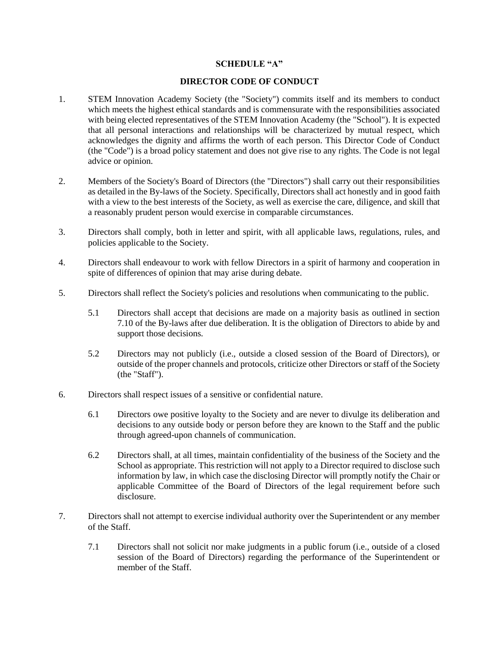### **SCHEDULE "A"**

### **DIRECTOR CODE OF CONDUCT**

- 1. STEM Innovation Academy Society (the "Society") commits itself and its members to conduct which meets the highest ethical standards and is commensurate with the responsibilities associated with being elected representatives of the STEM Innovation Academy (the "School"). It is expected that all personal interactions and relationships will be characterized by mutual respect, which acknowledges the dignity and affirms the worth of each person. This Director Code of Conduct (the "Code") is a broad policy statement and does not give rise to any rights. The Code is not legal advice or opinion.
- 2. Members of the Society's Board of Directors (the "Directors") shall carry out their responsibilities as detailed in the By-laws of the Society. Specifically, Directors shall act honestly and in good faith with a view to the best interests of the Society, as well as exercise the care, diligence, and skill that a reasonably prudent person would exercise in comparable circumstances.
- 3. Directors shall comply, both in letter and spirit, with all applicable laws, regulations, rules, and policies applicable to the Society.
- 4. Directors shall endeavour to work with fellow Directors in a spirit of harmony and cooperation in spite of differences of opinion that may arise during debate.
- 5. Directors shall reflect the Society's policies and resolutions when communicating to the public.
	- 5.1 Directors shall accept that decisions are made on a majority basis as outlined in section 7.10 of the By-laws after due deliberation. It is the obligation of Directors to abide by and support those decisions.
	- 5.2 Directors may not publicly (i.e., outside a closed session of the Board of Directors), or outside of the proper channels and protocols, criticize other Directors or staff of the Society (the "Staff").
- 6. Directors shall respect issues of a sensitive or confidential nature.
	- 6.1 Directors owe positive loyalty to the Society and are never to divulge its deliberation and decisions to any outside body or person before they are known to the Staff and the public through agreed-upon channels of communication.
	- 6.2 Directors shall, at all times, maintain confidentiality of the business of the Society and the School as appropriate. This restriction will not apply to a Director required to disclose such information by law, in which case the disclosing Director will promptly notify the Chair or applicable Committee of the Board of Directors of the legal requirement before such disclosure.
- 7. Directors shall not attempt to exercise individual authority over the Superintendent or any member of the Staff.
	- 7.1 Directors shall not solicit nor make judgments in a public forum (i.e., outside of a closed session of the Board of Directors) regarding the performance of the Superintendent or member of the Staff.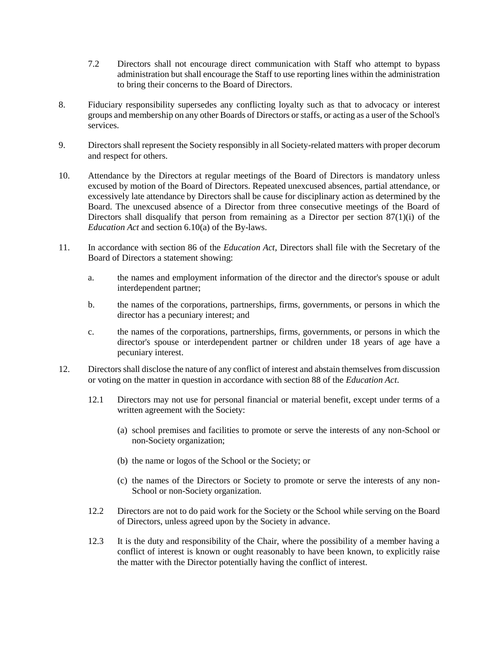- 7.2 Directors shall not encourage direct communication with Staff who attempt to bypass administration but shall encourage the Staff to use reporting lines within the administration to bring their concerns to the Board of Directors.
- 8. Fiduciary responsibility supersedes any conflicting loyalty such as that to advocacy or interest groups and membership on any other Boards of Directors or staffs, or acting as a user of the School's services.
- 9. Directors shall represent the Society responsibly in all Society-related matters with proper decorum and respect for others.
- 10. Attendance by the Directors at regular meetings of the Board of Directors is mandatory unless excused by motion of the Board of Directors. Repeated unexcused absences, partial attendance, or excessively late attendance by Directors shall be cause for disciplinary action as determined by the Board. The unexcused absence of a Director from three consecutive meetings of the Board of Directors shall disqualify that person from remaining as a Director per section 87(1)(i) of the *Education Act* and section 6.10(a) of the By-laws.
- 11. In accordance with section 86 of the *Education Act*, Directors shall file with the Secretary of the Board of Directors a statement showing:
	- a. the names and employment information of the director and the director's spouse or adult interdependent partner;
	- b. the names of the corporations, partnerships, firms, governments, or persons in which the director has a pecuniary interest; and
	- c. the names of the corporations, partnerships, firms, governments, or persons in which the director's spouse or interdependent partner or children under 18 years of age have a pecuniary interest.
- 12. Directors shall disclose the nature of any conflict of interest and abstain themselves from discussion or voting on the matter in question in accordance with section 88 of the *Education Act*.
	- 12.1 Directors may not use for personal financial or material benefit, except under terms of a written agreement with the Society:
		- (a) school premises and facilities to promote or serve the interests of any non-School or non-Society organization;
		- (b) the name or logos of the School or the Society; or
		- (c) the names of the Directors or Society to promote or serve the interests of any non-School or non-Society organization.
	- 12.2 Directors are not to do paid work for the Society or the School while serving on the Board of Directors, unless agreed upon by the Society in advance.
	- 12.3 It is the duty and responsibility of the Chair, where the possibility of a member having a conflict of interest is known or ought reasonably to have been known, to explicitly raise the matter with the Director potentially having the conflict of interest.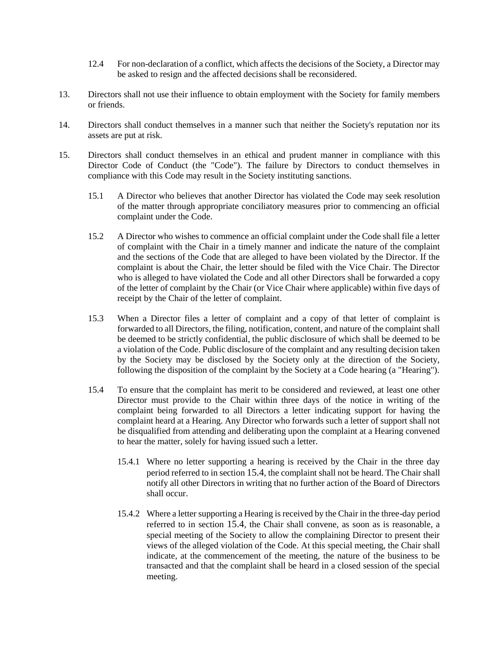- 12.4 For non-declaration of a conflict, which affects the decisions of the Society, a Director may be asked to resign and the affected decisions shall be reconsidered.
- 13. Directors shall not use their influence to obtain employment with the Society for family members or friends.
- 14. Directors shall conduct themselves in a manner such that neither the Society's reputation nor its assets are put at risk.
- <span id="page-3-0"></span>15. Directors shall conduct themselves in an ethical and prudent manner in compliance with this Director Code of Conduct (the "Code"). The failure by Directors to conduct themselves in compliance with this Code may result in the Society instituting sanctions.
	- 15.1 A Director who believes that another Director has violated the Code may seek resolution of the matter through appropriate conciliatory measures prior to commencing an official complaint under the Code.
	- 15.2 A Director who wishes to commence an official complaint under the Code shall file a letter of complaint with the Chair in a timely manner and indicate the nature of the complaint and the sections of the Code that are alleged to have been violated by the Director. If the complaint is about the Chair, the letter should be filed with the Vice Chair. The Director who is alleged to have violated the Code and all other Directors shall be forwarded a copy of the letter of complaint by the Chair (or Vice Chair where applicable) within five days of receipt by the Chair of the letter of complaint.
	- 15.3 When a Director files a letter of complaint and a copy of that letter of complaint is forwarded to all Directors, the filing, notification, content, and nature of the complaint shall be deemed to be strictly confidential, the public disclosure of which shall be deemed to be a violation of the Code. Public disclosure of the complaint and any resulting decision taken by the Society may be disclosed by the Society only at the direction of the Society, following the disposition of the complaint by the Society at a Code hearing (a "Hearing").
	- 15.4 To ensure that the complaint has merit to be considered and reviewed, at least one other Director must provide to the Chair within three days of the notice in writing of the complaint being forwarded to all Directors a letter indicating support for having the complaint heard at a Hearing. Any Director who forwards such a letter of support shall not be disqualified from attending and deliberating upon the complaint at a Hearing convened to hear the matter, solely for having issued such a letter.
		- 15.4.1 Where no letter supporting a hearing is received by the Chair in the three day period referred to in section [15.4](#page-3-0), the complaint shall not be heard. The Chair shall notify all other Directors in writing that no further action of the Board of Directors shall occur.
		- 15.4.2 Where a letter supporting a Hearing is received by the Chair in the three-day period referred to in section [15.4](#page-3-0), the Chair shall convene, as soon as is reasonable, a special meeting of the Society to allow the complaining Director to present their views of the alleged violation of the Code. At this special meeting, the Chair shall indicate, at the commencement of the meeting, the nature of the business to be transacted and that the complaint shall be heard in a closed session of the special meeting.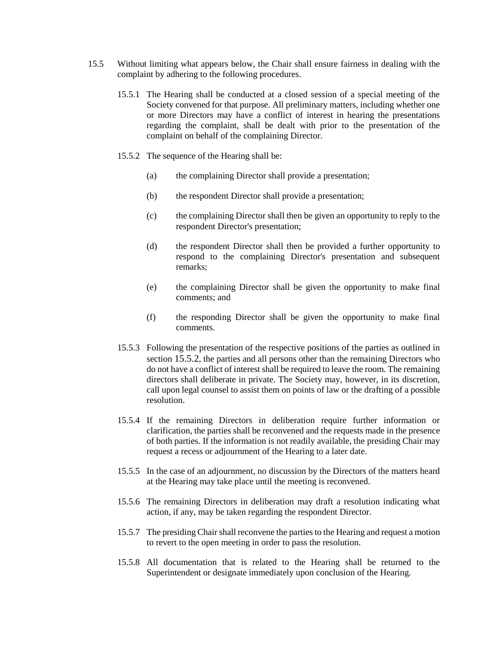- <span id="page-4-0"></span>15.5 Without limiting what appears below, the Chair shall ensure fairness in dealing with the complaint by adhering to the following procedures.
	- 15.5.1 The Hearing shall be conducted at a closed session of a special meeting of the Society convened for that purpose. All preliminary matters, including whether one or more Directors may have a conflict of interest in hearing the presentations regarding the complaint, shall be dealt with prior to the presentation of the complaint on behalf of the complaining Director.
	- 15.5.2 The sequence of the Hearing shall be:
		- (a) the complaining Director shall provide a presentation;
		- (b) the respondent Director shall provide a presentation;
		- (c) the complaining Director shall then be given an opportunity to reply to the respondent Director's presentation;
		- (d) the respondent Director shall then be provided a further opportunity to respond to the complaining Director's presentation and subsequent remarks;
		- (e) the complaining Director shall be given the opportunity to make final comments; and
		- (f) the responding Director shall be given the opportunity to make final comments.
	- 15.5.3 Following the presentation of the respective positions of the parties as outlined in section [15.5.2](#page-4-0), the parties and all persons other than the remaining Directors who do not have a conflict of interest shall be required to leave the room. The remaining directors shall deliberate in private. The Society may, however, in its discretion, call upon legal counsel to assist them on points of law or the drafting of a possible resolution.
	- 15.5.4 If the remaining Directors in deliberation require further information or clarification, the parties shall be reconvened and the requests made in the presence of both parties. If the information is not readily available, the presiding Chair may request a recess or adjournment of the Hearing to a later date.
	- 15.5.5 In the case of an adjournment, no discussion by the Directors of the matters heard at the Hearing may take place until the meeting is reconvened.
	- 15.5.6 The remaining Directors in deliberation may draft a resolution indicating what action, if any, may be taken regarding the respondent Director.
	- 15.5.7 The presiding Chair shall reconvene the parties to the Hearing and request a motion to revert to the open meeting in order to pass the resolution.
	- 15.5.8 All documentation that is related to the Hearing shall be returned to the Superintendent or designate immediately upon conclusion of the Hearing.